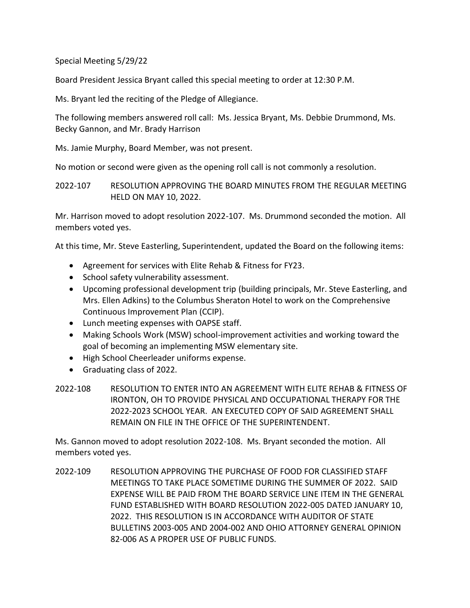Special Meeting 5/29/22

Board President Jessica Bryant called this special meeting to order at 12:30 P.M.

Ms. Bryant led the reciting of the Pledge of Allegiance.

The following members answered roll call: Ms. Jessica Bryant, Ms. Debbie Drummond, Ms. Becky Gannon, and Mr. Brady Harrison

Ms. Jamie Murphy, Board Member, was not present.

No motion or second were given as the opening roll call is not commonly a resolution.

2022-107 RESOLUTION APPROVING THE BOARD MINUTES FROM THE REGULAR MEETING HELD ON MAY 10, 2022.

Mr. Harrison moved to adopt resolution 2022-107. Ms. Drummond seconded the motion. All members voted yes.

At this time, Mr. Steve Easterling, Superintendent, updated the Board on the following items:

- Agreement for services with Elite Rehab & Fitness for FY23.
- School safety vulnerability assessment.
- Upcoming professional development trip (building principals, Mr. Steve Easterling, and Mrs. Ellen Adkins) to the Columbus Sheraton Hotel to work on the Comprehensive Continuous Improvement Plan (CCIP).
- Lunch meeting expenses with OAPSE staff.
- Making Schools Work (MSW) school-improvement activities and working toward the goal of becoming an implementing MSW elementary site.
- High School Cheerleader uniforms expense.
- Graduating class of 2022.
- 2022-108 RESOLUTION TO ENTER INTO AN AGREEMENT WITH ELITE REHAB & FITNESS OF IRONTON, OH TO PROVIDE PHYSICAL AND OCCUPATIONAL THERAPY FOR THE 2022-2023 SCHOOL YEAR. AN EXECUTED COPY OF SAID AGREEMENT SHALL REMAIN ON FILE IN THE OFFICE OF THE SUPERINTENDENT.

Ms. Gannon moved to adopt resolution 2022-108. Ms. Bryant seconded the motion. All members voted yes.

2022-109 RESOLUTION APPROVING THE PURCHASE OF FOOD FOR CLASSIFIED STAFF MEETINGS TO TAKE PLACE SOMETIME DURING THE SUMMER OF 2022. SAID EXPENSE WILL BE PAID FROM THE BOARD SERVICE LINE ITEM IN THE GENERAL FUND ESTABLISHED WITH BOARD RESOLUTION 2022-005 DATED JANUARY 10, 2022. THIS RESOLUTION IS IN ACCORDANCE WITH AUDITOR OF STATE BULLETINS 2003-005 AND 2004-002 AND OHIO ATTORNEY GENERAL OPINION 82-006 AS A PROPER USE OF PUBLIC FUNDS.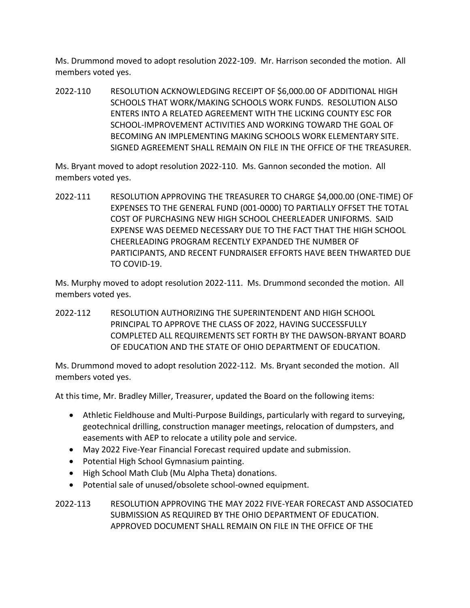Ms. Drummond moved to adopt resolution 2022-109. Mr. Harrison seconded the motion. All members voted yes.

2022-110 RESOLUTION ACKNOWLEDGING RECEIPT OF \$6,000.00 OF ADDITIONAL HIGH SCHOOLS THAT WORK/MAKING SCHOOLS WORK FUNDS. RESOLUTION ALSO ENTERS INTO A RELATED AGREEMENT WITH THE LICKING COUNTY ESC FOR SCHOOL-IMPROVEMENT ACTIVITIES AND WORKING TOWARD THE GOAL OF BECOMING AN IMPLEMENTING MAKING SCHOOLS WORK ELEMENTARY SITE. SIGNED AGREEMENT SHALL REMAIN ON FILE IN THE OFFICE OF THE TREASURER.

Ms. Bryant moved to adopt resolution 2022-110. Ms. Gannon seconded the motion. All members voted yes.

2022-111 RESOLUTION APPROVING THE TREASURER TO CHARGE \$4,000.00 (ONE-TIME) OF EXPENSES TO THE GENERAL FUND (001-0000) TO PARTIALLY OFFSET THE TOTAL COST OF PURCHASING NEW HIGH SCHOOL CHEERLEADER UNIFORMS. SAID EXPENSE WAS DEEMED NECESSARY DUE TO THE FACT THAT THE HIGH SCHOOL CHEERLEADING PROGRAM RECENTLY EXPANDED THE NUMBER OF PARTICIPANTS, AND RECENT FUNDRAISER EFFORTS HAVE BEEN THWARTED DUE TO COVID-19.

Ms. Murphy moved to adopt resolution 2022-111. Ms. Drummond seconded the motion. All members voted yes.

2022-112 RESOLUTION AUTHORIZING THE SUPERINTENDENT AND HIGH SCHOOL PRINCIPAL TO APPROVE THE CLASS OF 2022, HAVING SUCCESSFULLY COMPLETED ALL REQUIREMENTS SET FORTH BY THE DAWSON-BRYANT BOARD OF EDUCATION AND THE STATE OF OHIO DEPARTMENT OF EDUCATION.

Ms. Drummond moved to adopt resolution 2022-112. Ms. Bryant seconded the motion. All members voted yes.

At this time, Mr. Bradley Miller, Treasurer, updated the Board on the following items:

- Athletic Fieldhouse and Multi-Purpose Buildings, particularly with regard to surveying, geotechnical drilling, construction manager meetings, relocation of dumpsters, and easements with AEP to relocate a utility pole and service.
- May 2022 Five-Year Financial Forecast required update and submission.
- Potential High School Gymnasium painting.
- High School Math Club (Mu Alpha Theta) donations.
- Potential sale of unused/obsolete school-owned equipment.

2022-113 RESOLUTION APPROVING THE MAY 2022 FIVE-YEAR FORECAST AND ASSOCIATED SUBMISSION AS REQUIRED BY THE OHIO DEPARTMENT OF EDUCATION. APPROVED DOCUMENT SHALL REMAIN ON FILE IN THE OFFICE OF THE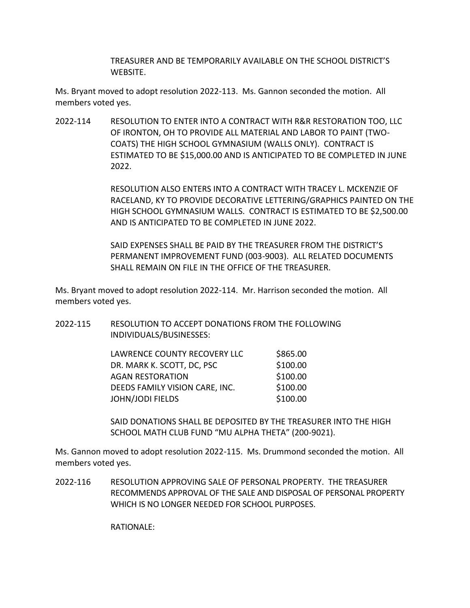TREASURER AND BE TEMPORARILY AVAILABLE ON THE SCHOOL DISTRICT'S WEBSITE.

Ms. Bryant moved to adopt resolution 2022-113. Ms. Gannon seconded the motion. All members voted yes.

2022-114 RESOLUTION TO ENTER INTO A CONTRACT WITH R&R RESTORATION TOO, LLC OF IRONTON, OH TO PROVIDE ALL MATERIAL AND LABOR TO PAINT (TWO-COATS) THE HIGH SCHOOL GYMNASIUM (WALLS ONLY). CONTRACT IS ESTIMATED TO BE \$15,000.00 AND IS ANTICIPATED TO BE COMPLETED IN JUNE 2022.

> RESOLUTION ALSO ENTERS INTO A CONTRACT WITH TRACEY L. MCKENZIE OF RACELAND, KY TO PROVIDE DECORATIVE LETTERING/GRAPHICS PAINTED ON THE HIGH SCHOOL GYMNASIUM WALLS. CONTRACT IS ESTIMATED TO BE \$2,500.00 AND IS ANTICIPATED TO BE COMPLETED IN JUNE 2022.

SAID EXPENSES SHALL BE PAID BY THE TREASURER FROM THE DISTRICT'S PERMANENT IMPROVEMENT FUND (003-9003). ALL RELATED DOCUMENTS SHALL REMAIN ON FILE IN THE OFFICE OF THE TREASURER.

Ms. Bryant moved to adopt resolution 2022-114. Mr. Harrison seconded the motion. All members voted yes.

| 2022-115 | RESOLUTION TO ACCEPT DONATIONS FROM THE FOLLOWING |
|----------|---------------------------------------------------|
|          | INDIVIDUALS/BUSINESSES:                           |

| LAWRENCE COUNTY RECOVERY LLC   | \$865.00 |
|--------------------------------|----------|
| DR. MARK K. SCOTT, DC, PSC     | \$100.00 |
| <b>AGAN RESTORATION</b>        | \$100.00 |
| DEEDS FAMILY VISION CARE, INC. | \$100.00 |
| <b>JOHN/JODI FIELDS</b>        | \$100.00 |

SAID DONATIONS SHALL BE DEPOSITED BY THE TREASURER INTO THE HIGH SCHOOL MATH CLUB FUND "MU ALPHA THETA" (200-9021).

Ms. Gannon moved to adopt resolution 2022-115. Ms. Drummond seconded the motion. All members voted yes.

2022-116 RESOLUTION APPROVING SALE OF PERSONAL PROPERTY. THE TREASURER RECOMMENDS APPROVAL OF THE SALE AND DISPOSAL OF PERSONAL PROPERTY WHICH IS NO LONGER NEEDED FOR SCHOOL PURPOSES.

RATIONALE: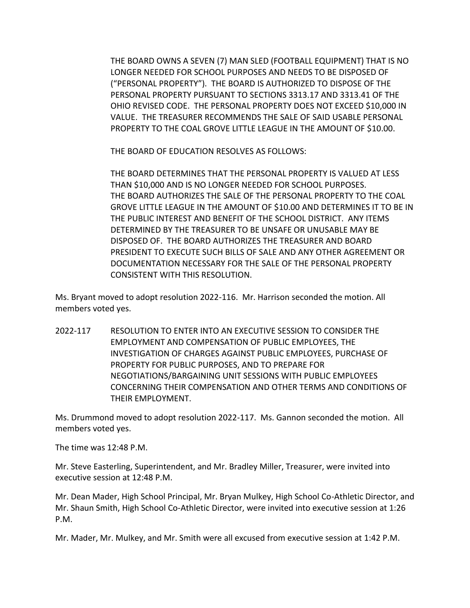THE BOARD OWNS A SEVEN (7) MAN SLED (FOOTBALL EQUIPMENT) THAT IS NO LONGER NEEDED FOR SCHOOL PURPOSES AND NEEDS TO BE DISPOSED OF ("PERSONAL PROPERTY"). THE BOARD IS AUTHORIZED TO DISPOSE OF THE PERSONAL PROPERTY PURSUANT TO SECTIONS 3313.17 AND 3313.41 OF THE OHIO REVISED CODE. THE PERSONAL PROPERTY DOES NOT EXCEED \$10,000 IN VALUE. THE TREASURER RECOMMENDS THE SALE OF SAID USABLE PERSONAL PROPERTY TO THE COAL GROVE LITTLE LEAGUE IN THE AMOUNT OF \$10.00.

THE BOARD OF EDUCATION RESOLVES AS FOLLOWS:

THE BOARD DETERMINES THAT THE PERSONAL PROPERTY IS VALUED AT LESS THAN \$10,000 AND IS NO LONGER NEEDED FOR SCHOOL PURPOSES. THE BOARD AUTHORIZES THE SALE OF THE PERSONAL PROPERTY TO THE COAL GROVE LITTLE LEAGUE IN THE AMOUNT OF \$10.00 AND DETERMINES IT TO BE IN THE PUBLIC INTEREST AND BENEFIT OF THE SCHOOL DISTRICT. ANY ITEMS DETERMINED BY THE TREASURER TO BE UNSAFE OR UNUSABLE MAY BE DISPOSED OF. THE BOARD AUTHORIZES THE TREASURER AND BOARD PRESIDENT TO EXECUTE SUCH BILLS OF SALE AND ANY OTHER AGREEMENT OR DOCUMENTATION NECESSARY FOR THE SALE OF THE PERSONAL PROPERTY CONSISTENT WITH THIS RESOLUTION.

Ms. Bryant moved to adopt resolution 2022-116. Mr. Harrison seconded the motion. All members voted yes.

2022-117 RESOLUTION TO ENTER INTO AN EXECUTIVE SESSION TO CONSIDER THE EMPLOYMENT AND COMPENSATION OF PUBLIC EMPLOYEES, THE INVESTIGATION OF CHARGES AGAINST PUBLIC EMPLOYEES, PURCHASE OF PROPERTY FOR PUBLIC PURPOSES, AND TO PREPARE FOR NEGOTIATIONS/BARGAINING UNIT SESSIONS WITH PUBLIC EMPLOYEES CONCERNING THEIR COMPENSATION AND OTHER TERMS AND CONDITIONS OF THEIR EMPLOYMENT.

Ms. Drummond moved to adopt resolution 2022-117. Ms. Gannon seconded the motion. All members voted yes.

The time was 12:48 P.M.

Mr. Steve Easterling, Superintendent, and Mr. Bradley Miller, Treasurer, were invited into executive session at 12:48 P.M.

Mr. Dean Mader, High School Principal, Mr. Bryan Mulkey, High School Co-Athletic Director, and Mr. Shaun Smith, High School Co-Athletic Director, were invited into executive session at 1:26 P.M.

Mr. Mader, Mr. Mulkey, and Mr. Smith were all excused from executive session at 1:42 P.M.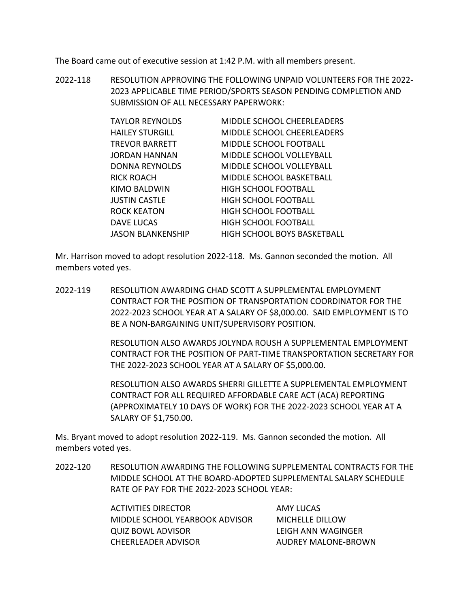The Board came out of executive session at 1:42 P.M. with all members present.

2022-118 RESOLUTION APPROVING THE FOLLOWING UNPAID VOLUNTEERS FOR THE 2022- 2023 APPLICABLE TIME PERIOD/SPORTS SEASON PENDING COMPLETION AND SUBMISSION OF ALL NECESSARY PAPERWORK:

| <b>TAYLOR REYNOLDS</b>   | MIDDLE SCHOOL CHEERLEADERS         |
|--------------------------|------------------------------------|
| <b>HAILEY STURGILL</b>   | <b>MIDDLE SCHOOL CHEERLEADERS</b>  |
| TREVOR BARRETT           | MIDDLE SCHOOL FOOTBALL             |
| JORDAN HANNAN            | MIDDLE SCHOOL VOLLEYBALL           |
| <b>DONNA REYNOLDS</b>    | MIDDLE SCHOOL VOLLEYBALL           |
| RICK ROACH               | <b>MIDDLE SCHOOL BASKETBALL</b>    |
| KIMO BALDWIN             | <b>HIGH SCHOOL FOOTBALL</b>        |
| JUSTIN CASTLE            | <b>HIGH SCHOOL FOOTBALL</b>        |
| <b>ROCK KEATON</b>       | <b>HIGH SCHOOL FOOTBALL</b>        |
| <b>DAVE LUCAS</b>        | <b>HIGH SCHOOL FOOTBALL</b>        |
| <b>JASON BLANKENSHIP</b> | <b>HIGH SCHOOL BOYS BASKETBALL</b> |

Mr. Harrison moved to adopt resolution 2022-118. Ms. Gannon seconded the motion. All members voted yes.

2022-119 RESOLUTION AWARDING CHAD SCOTT A SUPPLEMENTAL EMPLOYMENT CONTRACT FOR THE POSITION OF TRANSPORTATION COORDINATOR FOR THE 2022-2023 SCHOOL YEAR AT A SALARY OF \$8,000.00. SAID EMPLOYMENT IS TO BE A NON-BARGAINING UNIT/SUPERVISORY POSITION.

> RESOLUTION ALSO AWARDS JOLYNDA ROUSH A SUPPLEMENTAL EMPLOYMENT CONTRACT FOR THE POSITION OF PART-TIME TRANSPORTATION SECRETARY FOR THE 2022-2023 SCHOOL YEAR AT A SALARY OF \$5,000.00.

RESOLUTION ALSO AWARDS SHERRI GILLETTE A SUPPLEMENTAL EMPLOYMENT CONTRACT FOR ALL REQUIRED AFFORDABLE CARE ACT (ACA) REPORTING (APPROXIMATELY 10 DAYS OF WORK) FOR THE 2022-2023 SCHOOL YEAR AT A SALARY OF \$1,750.00.

Ms. Bryant moved to adopt resolution 2022-119. Ms. Gannon seconded the motion. All members voted yes.

2022-120 RESOLUTION AWARDING THE FOLLOWING SUPPLEMENTAL CONTRACTS FOR THE MIDDLE SCHOOL AT THE BOARD-ADOPTED SUPPLEMENTAL SALARY SCHEDULE RATE OF PAY FOR THE 2022-2023 SCHOOL YEAR:

> ACTIVITIES DIRECTOR AMY LUCAS MIDDLE SCHOOL YEARBOOK ADVISOR MICHELLE DILLOW QUIZ BOWL ADVISOR LEIGH ANN WAGINGER CHEERLEADER ADVISOR AUDREY MALONE-BROWN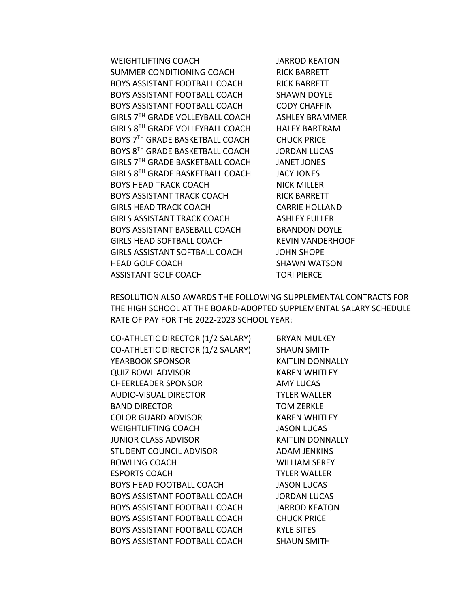WEIGHTLIFTING COACH JARROD KEATON SUMMER CONDITIONING COACH RICK BARRETT BOYS ASSISTANT FOOTBALL COACH RICK BARRETT BOYS ASSISTANT FOOTBALL COACH SHAWN DOYLE BOYS ASSISTANT FOOTBALL COACH CODY CHAFFIN GIRLS 7<sup>TH</sup> GRADE VOLLEYBALL COACH ASHLEY BRAMMER GIRLS 8TH GRADE VOLLEYBALL COACH HALEY BARTRAM BOYS 7<sup>TH</sup> GRADE BASKETBALL COACH CHUCK PRICE BOYS 8TH GRADE BASKETBALL COACH JORDAN LUCAS GIRLS 7TH GRADE BASKETBALL COACH JANET JONES GIRLS 8TH GRADE BASKETBALL COACH JACY JONES BOYS HEAD TRACK COACH NICK MILLER BOYS ASSISTANT TRACK COACH RICK BARRETT GIRLS HEAD TRACK COACH CARRIE HOLLAND GIRLS ASSISTANT TRACK COACH ASHLEY FULLER BOYS ASSISTANT BASEBALL COACH BRANDON DOYLE GIRLS HEAD SOFTBALL COACH KEVIN VANDERHOOF GIRLS ASSISTANT SOFTBALL COACH JOHN SHOPE HEAD GOLF COACH SHAWN WATSON ASSISTANT GOLF COACH TORI PIERCE

RESOLUTION ALSO AWARDS THE FOLLOWING SUPPLEMENTAL CONTRACTS FOR THE HIGH SCHOOL AT THE BOARD-ADOPTED SUPPLEMENTAL SALARY SCHEDULE RATE OF PAY FOR THE 2022-2023 SCHOOL YEAR:

CO-ATHLETIC DIRECTOR (1/2 SALARY) BRYAN MULKEY CO-ATHLETIC DIRECTOR (1/2 SALARY) SHAUN SMITH YEARBOOK SPONSOR KAITLIN DONNALLY QUIZ BOWL ADVISOR KAREN WHITLEY CHEERLEADER SPONSOR AMY LUCAS AUDIO-VISUAL DIRECTOR TYLER WALLER BAND DIRECTOR TOM ZERKLE COLOR GUARD ADVISOR KAREN WHITLEY WEIGHTLIFTING COACH JASON LUCAS JUNIOR CLASS ADVISOR KAITLIN DONNALLY STUDENT COUNCIL ADVISOR ADAM JENKINS BOWLING COACH WILLIAM SEREY ESPORTS COACH TYLER WALLER BOYS HEAD FOOTBALL COACH JASON LUCAS BOYS ASSISTANT FOOTBALL COACH JORDAN LUCAS BOYS ASSISTANT FOOTBALL COACH JARROD KEATON BOYS ASSISTANT FOOTBALL COACH CHUCK PRICE BOYS ASSISTANT FOOTBALL COACH KYLE SITES BOYS ASSISTANT FOOTBALL COACH SHAUN SMITH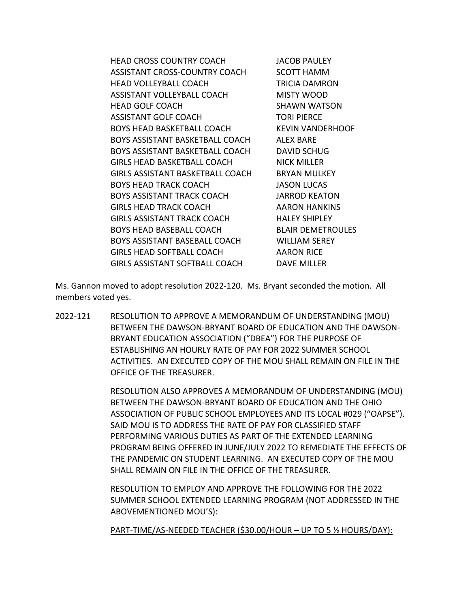HEAD CROSS COUNTRY COACH JACOB PAULEY ASSISTANT CROSS-COUNTRY COACH SCOTT HAMM HEAD VOLLEYBALL COACH TRICIA DAMRON ASSISTANT VOLLEYBALL COACH MISTY WOOD HEAD GOLF COACH SHAWN WATSON ASSISTANT GOLF COACH TORI PIERCE BOYS HEAD BASKETBALL COACH KEVIN VANDERHOOF BOYS ASSISTANT BASKETBALL COACH ALEX BARE BOYS ASSISTANT BASKETBALL COACH DAVID SCHUG GIRLS HEAD BASKETBALL COACH NICK MILLER GIRLS ASSISTANT BASKETBALL COACH BRYAN MULKEY BOYS HEAD TRACK COACH JASON LUCAS BOYS ASSISTANT TRACK COACH JARROD KEATON GIRLS HEAD TRACK COACH AARON HANKINS GIRLS ASSISTANT TRACK COACH HALEY SHIPLEY BOYS HEAD BASEBALL COACH BLAIR DEMETROULES BOYS ASSISTANT BASEBALL COACH WILLIAM SEREY GIRLS HEAD SOFTBALL COACH AARON RICE GIRLS ASSISTANT SOFTBALL COACH DAVE MILLER

Ms. Gannon moved to adopt resolution 2022-120. Ms. Bryant seconded the motion. All members voted yes.

2022-121 RESOLUTION TO APPROVE A MEMORANDUM OF UNDERSTANDING (MOU) BETWEEN THE DAWSON-BRYANT BOARD OF EDUCATION AND THE DAWSON-BRYANT EDUCATION ASSOCIATION ("DBEA") FOR THE PURPOSE OF ESTABLISHING AN HOURLY RATE OF PAY FOR 2022 SUMMER SCHOOL ACTIVITIES. AN EXECUTED COPY OF THE MOU SHALL REMAIN ON FILE IN THE OFFICE OF THE TREASURER.

> RESOLUTION ALSO APPROVES A MEMORANDUM OF UNDERSTANDING (MOU) BETWEEN THE DAWSON-BRYANT BOARD OF EDUCATION AND THE OHIO ASSOCIATION OF PUBLIC SCHOOL EMPLOYEES AND ITS LOCAL #029 ("OAPSE"). SAID MOU IS TO ADDRESS THE RATE OF PAY FOR CLASSIFIED STAFF PERFORMING VARIOUS DUTIES AS PART OF THE EXTENDED LEARNING PROGRAM BEING OFFERED IN JUNE/JULY 2022 TO REMEDIATE THE EFFECTS OF THE PANDEMIC ON STUDENT LEARNING. AN EXECUTED COPY OF THE MOU SHALL REMAIN ON FILE IN THE OFFICE OF THE TREASURER.

RESOLUTION TO EMPLOY AND APPROVE THE FOLLOWING FOR THE 2022 SUMMER SCHOOL EXTENDED LEARNING PROGRAM (NOT ADDRESSED IN THE ABOVEMENTIONED MOU'S):

PART-TIME/AS-NEEDED TEACHER (\$30.00/HOUR – UP TO 5 ½ HOURS/DAY):